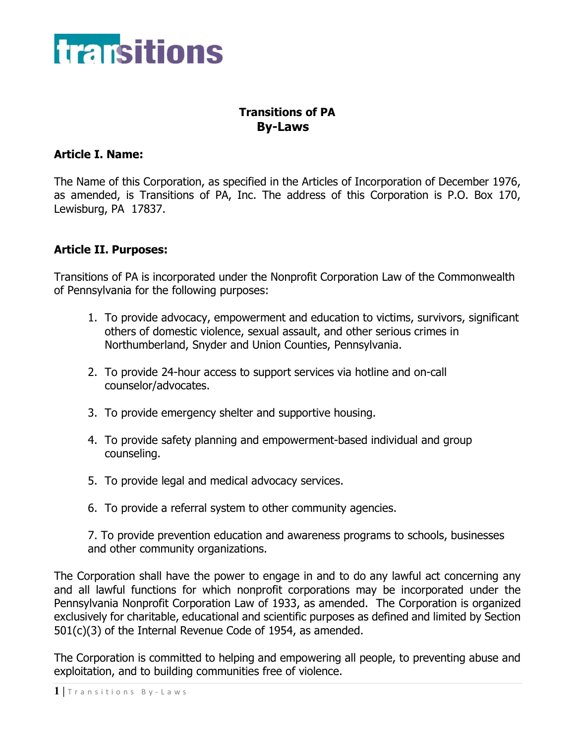

# **Transitions of PA By-Laws**

## **Article I. Name:**

The Name of this Corporation, as specified in the Articles of Incorporation of December 1976, as amended, is Transitions of PA, Inc. The address of this Corporation is P.O. Box 170, Lewisburg, PA 17837.

## **Article II. Purposes:**

Transitions of PA is incorporated under the Nonprofit Corporation Law of the Commonwealth of Pennsylvania for the following purposes:

- 1. To provide advocacy, empowerment and education to victims, survivors, significant others of domestic violence, sexual assault, and other serious crimes in Northumberland, Snyder and Union Counties, Pennsylvania.
- 2. To provide 24-hour access to support services via hotline and on-call counselor/advocates.
- 3. To provide emergency shelter and supportive housing.
- 4. To provide safety planning and empowerment-based individual and group counseling.
- 5. To provide legal and medical advocacy services.
- 6. To provide a referral system to other community agencies.

7. To provide prevention education and awareness programs to schools, businesses and other community organizations.

The Corporation shall have the power to engage in and to do any lawful act concerning any and all lawful functions for which nonprofit corporations may be incorporated under the Pennsylvania Nonprofit Corporation Law of 1933, as amended. The Corporation is organized exclusively for charitable, educational and scientific purposes as defined and limited by Section 501(c)(3) of the Internal Revenue Code of 1954, as amended.

The Corporation is committed to helping and empowering all people, to preventing abuse and exploitation, and to building communities free of violence.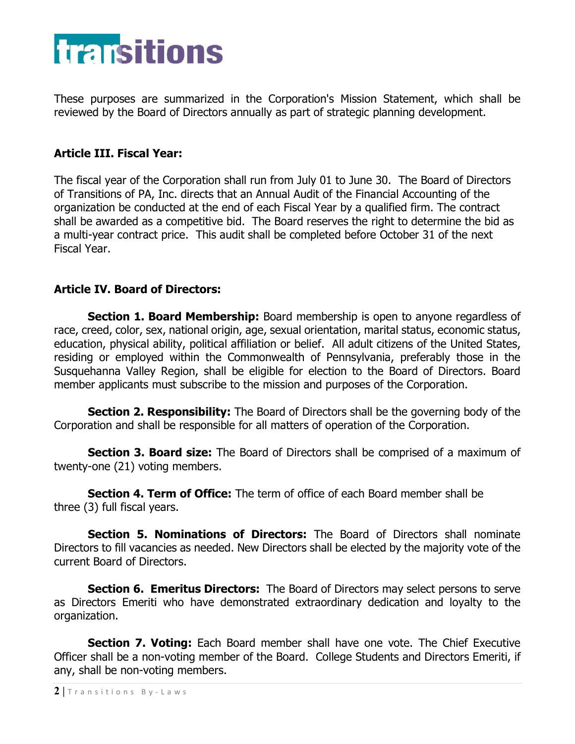

These purposes are summarized in the Corporation's Mission Statement, which shall be reviewed by the Board of Directors annually as part of strategic planning development.

# **Article III. Fiscal Year:**

The fiscal year of the Corporation shall run from July 01 to June 30. The Board of Directors of Transitions of PA, Inc. directs that an Annual Audit of the Financial Accounting of the organization be conducted at the end of each Fiscal Year by a qualified firm. The contract shall be awarded as a competitive bid. The Board reserves the right to determine the bid as a multi-year contract price. This audit shall be completed before October 31 of the next Fiscal Year.

#### **Article IV. Board of Directors:**

**Section 1. Board Membership:** Board membership is open to anyone regardless of race, creed, color, sex, national origin, age, sexual orientation, marital status, economic status, education, physical ability, political affiliation or belief. All adult citizens of the United States, residing or employed within the Commonwealth of Pennsylvania, preferably those in the Susquehanna Valley Region, shall be eligible for election to the Board of Directors. Board member applicants must subscribe to the mission and purposes of the Corporation.

**Section 2. Responsibility:** The Board of Directors shall be the governing body of the Corporation and shall be responsible for all matters of operation of the Corporation.

**Section 3. Board size:** The Board of Directors shall be comprised of a maximum of twenty-one (21) voting members.

**Section 4. Term of Office:** The term of office of each Board member shall be three (3) full fiscal years.

**Section 5. Nominations of Directors:** The Board of Directors shall nominate Directors to fill vacancies as needed. New Directors shall be elected by the majority vote of the current Board of Directors.

**Section 6. Emeritus Directors:** The Board of Directors may select persons to serve as Directors Emeriti who have demonstrated extraordinary dedication and loyalty to the organization.

**Section 7. Voting:** Each Board member shall have one vote. The Chief Executive Officer shall be a non-voting member of the Board. College Students and Directors Emeriti, if any, shall be non-voting members.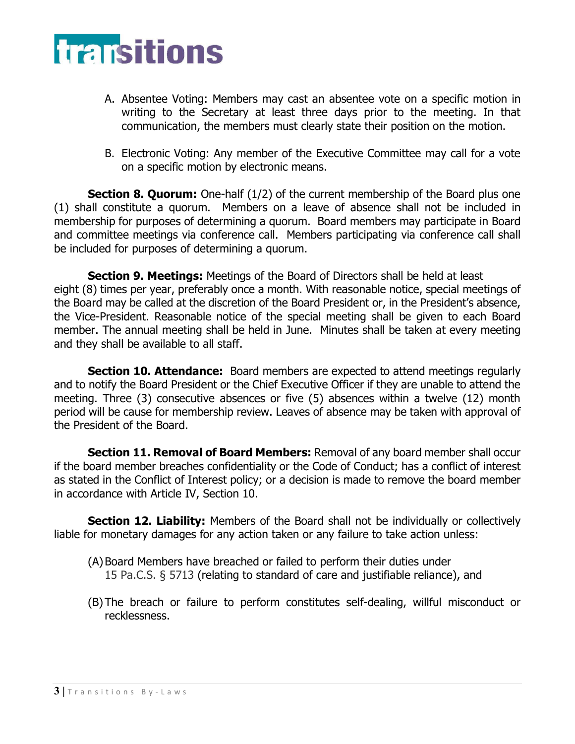

- A. Absentee Voting: Members may cast an absentee vote on a specific motion in writing to the Secretary at least three days prior to the meeting. In that communication, the members must clearly state their position on the motion.
- B. Electronic Voting: Any member of the Executive Committee may call for a vote on a specific motion by electronic means.

**Section 8. Quorum:** One-half (1/2) of the current membership of the Board plus one (1) shall constitute a quorum. Members on a leave of absence shall not be included in membership for purposes of determining a quorum. Board members may participate in Board and committee meetings via conference call. Members participating via conference call shall be included for purposes of determining a quorum.

**Section 9. Meetings:** Meetings of the Board of Directors shall be held at least eight (8) times per year, preferably once a month. With reasonable notice, special meetings of the Board may be called at the discretion of the Board President or, in the President's absence, the Vice-President. Reasonable notice of the special meeting shall be given to each Board member. The annual meeting shall be held in June. Minutes shall be taken at every meeting and they shall be available to all staff.

**Section 10. Attendance:** Board members are expected to attend meetings regularly and to notify the Board President or the Chief Executive Officer if they are unable to attend the meeting. Three (3) consecutive absences or five (5) absences within a twelve (12) month period will be cause for membership review. Leaves of absence may be taken with approval of the President of the Board.

**Section 11. Removal of Board Members:** Removal of any board member shall occur if the board member breaches confidentiality or the Code of Conduct; has a conflict of interest as stated in the Conflict of Interest policy; or a decision is made to remove the board member in accordance with Article IV, Section 10.

**Section 12. Liability:** Members of the Board shall not be individually or collectively liable for monetary damages for any action taken or any failure to take action unless:

- (A)Board Members have breached or failed to perform their duties under 15 Pa.C.S. § 5713 (relating to standard of care and justifiable reliance), and
- (B) The breach or failure to perform constitutes self-dealing, willful misconduct or recklessness.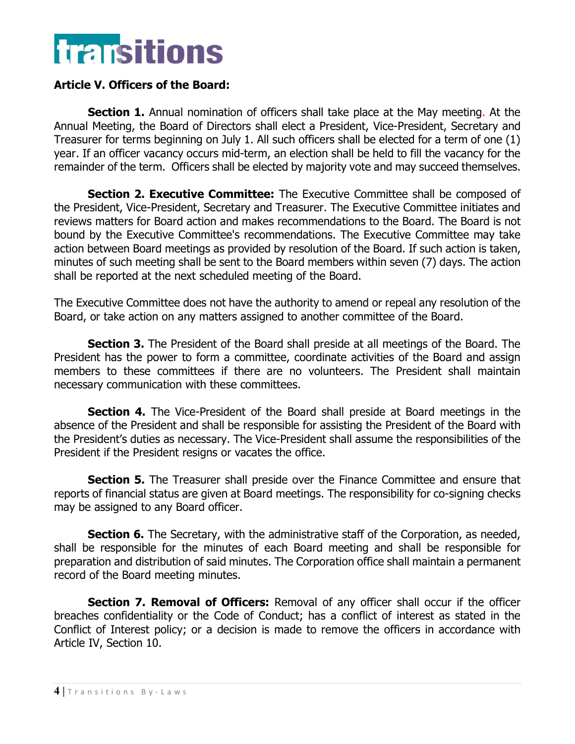

# **Article V. Officers of the Board:**

**Section 1.** Annual nomination of officers shall take place at the May meeting. At the Annual Meeting, the Board of Directors shall elect a President, Vice-President, Secretary and Treasurer for terms beginning on July 1. All such officers shall be elected for a term of one (1) year. If an officer vacancy occurs mid-term, an election shall be held to fill the vacancy for the remainder of the term. Officers shall be elected by majority vote and may succeed themselves.

**Section 2. Executive Committee:** The Executive Committee shall be composed of the President, Vice-President, Secretary and Treasurer. The Executive Committee initiates and reviews matters for Board action and makes recommendations to the Board. The Board is not bound by the Executive Committee's recommendations. The Executive Committee may take action between Board meetings as provided by resolution of the Board. If such action is taken, minutes of such meeting shall be sent to the Board members within seven (7) days. The action shall be reported at the next scheduled meeting of the Board.

The Executive Committee does not have the authority to amend or repeal any resolution of the Board, or take action on any matters assigned to another committee of the Board.

**Section 3.** The President of the Board shall preside at all meetings of the Board. The President has the power to form a committee, coordinate activities of the Board and assign members to these committees if there are no volunteers. The President shall maintain necessary communication with these committees.

**Section 4.** The Vice-President of the Board shall preside at Board meetings in the absence of the President and shall be responsible for assisting the President of the Board with the President's duties as necessary. The Vice-President shall assume the responsibilities of the President if the President resigns or vacates the office.

**Section 5.** The Treasurer shall preside over the Finance Committee and ensure that reports of financial status are given at Board meetings. The responsibility for co-signing checks may be assigned to any Board officer.

**Section 6.** The Secretary, with the administrative staff of the Corporation, as needed, shall be responsible for the minutes of each Board meeting and shall be responsible for preparation and distribution of said minutes. The Corporation office shall maintain a permanent record of the Board meeting minutes.

**Section 7. Removal of Officers:** Removal of any officer shall occur if the officer breaches confidentiality or the Code of Conduct; has a conflict of interest as stated in the Conflict of Interest policy; or a decision is made to remove the officers in accordance with Article IV, Section 10.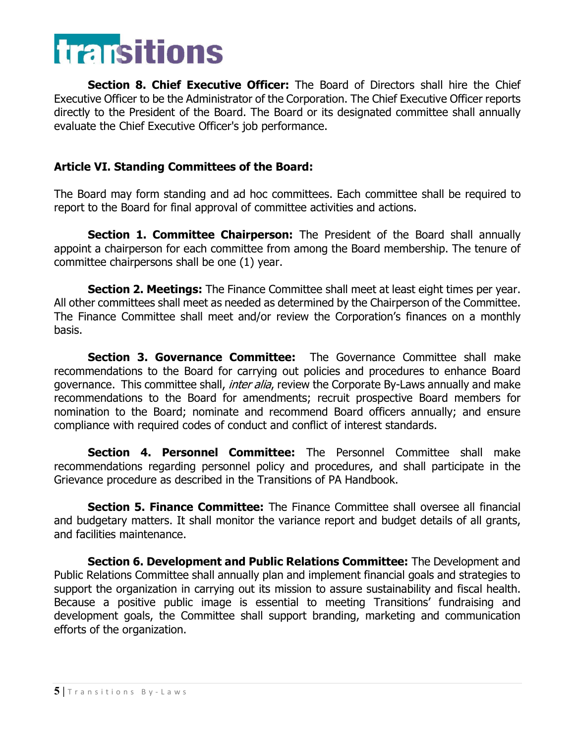

**Section 8. Chief Executive Officer:** The Board of Directors shall hire the Chief Executive Officer to be the Administrator of the Corporation. The Chief Executive Officer reports directly to the President of the Board. The Board or its designated committee shall annually evaluate the Chief Executive Officer's job performance.

## **Article VI. Standing Committees of the Board:**

The Board may form standing and ad hoc committees. Each committee shall be required to report to the Board for final approval of committee activities and actions.

**Section 1. Committee Chairperson:** The President of the Board shall annually appoint a chairperson for each committee from among the Board membership. The tenure of committee chairpersons shall be one (1) year.

**Section 2. Meetings:** The Finance Committee shall meet at least eight times per year. All other committees shall meet as needed as determined by the Chairperson of the Committee. The Finance Committee shall meet and/or review the Corporation's finances on a monthly basis.

**Section 3. Governance Committee:** The Governance Committee shall make recommendations to the Board for carrying out policies and procedures to enhance Board governance. This committee shall, *inter alia*, review the Corporate By-Laws annually and make recommendations to the Board for amendments; recruit prospective Board members for nomination to the Board; nominate and recommend Board officers annually; and ensure compliance with required codes of conduct and conflict of interest standards.

**Section 4. Personnel Committee:** The Personnel Committee shall make recommendations regarding personnel policy and procedures, and shall participate in the Grievance procedure as described in the Transitions of PA Handbook.

**Section 5. Finance Committee:** The Finance Committee shall oversee all financial and budgetary matters. It shall monitor the variance report and budget details of all grants, and facilities maintenance.

**Section 6. Development and Public Relations Committee:** The Development and Public Relations Committee shall annually plan and implement financial goals and strategies to support the organization in carrying out its mission to assure sustainability and fiscal health. Because a positive public image is essential to meeting Transitions' fundraising and development goals, the Committee shall support branding, marketing and communication efforts of the organization.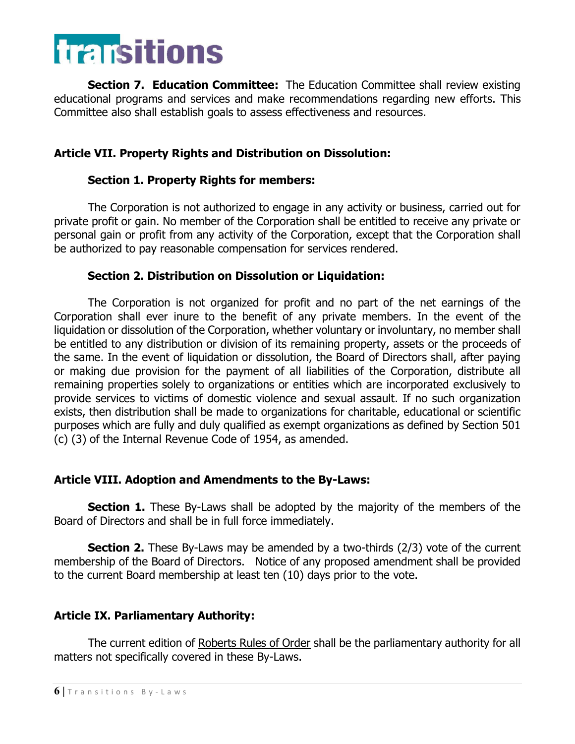

**Section 7. Education Committee:** The Education Committee shall review existing educational programs and services and make recommendations regarding new efforts. This Committee also shall establish goals to assess effectiveness and resources.

## **Article VII. Property Rights and Distribution on Dissolution:**

#### **Section 1. Property Rights for members:**

The Corporation is not authorized to engage in any activity or business, carried out for private profit or gain. No member of the Corporation shall be entitled to receive any private or personal gain or profit from any activity of the Corporation, except that the Corporation shall be authorized to pay reasonable compensation for services rendered.

#### **Section 2. Distribution on Dissolution or Liquidation:**

The Corporation is not organized for profit and no part of the net earnings of the Corporation shall ever inure to the benefit of any private members. In the event of the liquidation or dissolution of the Corporation, whether voluntary or involuntary, no member shall be entitled to any distribution or division of its remaining property, assets or the proceeds of the same. In the event of liquidation or dissolution, the Board of Directors shall, after paying or making due provision for the payment of all liabilities of the Corporation, distribute all remaining properties solely to organizations or entities which are incorporated exclusively to provide services to victims of domestic violence and sexual assault. If no such organization exists, then distribution shall be made to organizations for charitable, educational or scientific purposes which are fully and duly qualified as exempt organizations as defined by Section 501 (c) (3) of the Internal Revenue Code of 1954, as amended.

#### **Article VIII. Adoption and Amendments to the By-Laws:**

**Section 1.** These By-Laws shall be adopted by the majority of the members of the Board of Directors and shall be in full force immediately.

**Section 2.** These By-Laws may be amended by a two-thirds (2/3) vote of the current membership of the Board of Directors. Notice of any proposed amendment shall be provided to the current Board membership at least ten (10) days prior to the vote.

# **Article IX. Parliamentary Authority:**

The current edition of Roberts Rules of Order shall be the parliamentary authority for all matters not specifically covered in these By-Laws.